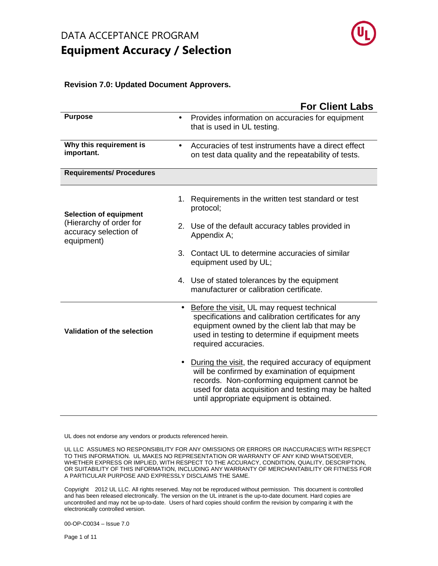

#### **Revision 7.0: Updated Document Approvers.**

|                                                                | <b>For Client Labs</b>                                                                                                                                                                                                                                  |
|----------------------------------------------------------------|---------------------------------------------------------------------------------------------------------------------------------------------------------------------------------------------------------------------------------------------------------|
| <b>Purpose</b>                                                 | Provides information on accuracies for equipment<br>$\bullet$<br>that is used in UL testing.                                                                                                                                                            |
| Why this requirement is<br>important.                          | Accuracies of test instruments have a direct effect<br>$\bullet$<br>on test data quality and the repeatability of tests.                                                                                                                                |
| <b>Requirements/ Procedures</b>                                |                                                                                                                                                                                                                                                         |
| <b>Selection of equipment</b>                                  | 1. Requirements in the written test standard or test<br>protocol;                                                                                                                                                                                       |
| (Hierarchy of order for<br>accuracy selection of<br>equipment) | 2. Use of the default accuracy tables provided in<br>Appendix A;                                                                                                                                                                                        |
|                                                                | 3. Contact UL to determine accuracies of similar<br>equipment used by UL;                                                                                                                                                                               |
|                                                                | 4. Use of stated tolerances by the equipment<br>manufacturer or calibration certificate.                                                                                                                                                                |
| Validation of the selection                                    | Before the visit, UL may request technical<br>$\bullet$<br>specifications and calibration certificates for any<br>equipment owned by the client lab that may be<br>used in testing to determine if equipment meets<br>required accuracies.              |
|                                                                | During the visit, the required accuracy of equipment<br>will be confirmed by examination of equipment<br>records. Non-conforming equipment cannot be<br>used for data acquisition and testing may be halted<br>until appropriate equipment is obtained. |

UL does not endorse any vendors or products referenced herein.

UL LLC ASSUMES NO RESPONSIBILITY FOR ANY OMISSIONS OR ERRORS OR INACCURACIES WITH RESPECT TO THIS INFORMATION. UL MAKES NO REPRESENTATION OR WARRANTY OF ANY KIND WHATSOEVER, WHETHER EXPRESS OR IMPLIED, WITH RESPECT TO THE ACCURACY, CONDITION, QUALITY, DESCRIPTION, OR SUITABILITY OF THIS INFORMATION, INCLUDING ANY WARRANTY OF MERCHANTABILITY OR FITNESS FOR A PARTICULAR PURPOSE AND EXPRESSLY DISCLAIMS THE SAME.

Copyright© 2012 UL LLC. All rights reserved. May not be reproduced without permission. This document is controlled and has been released electronically. The version on the UL intranet is the up-to-date document. Hard copies are uncontrolled and may not be up-to-date. Users of hard copies should confirm the revision by comparing it with the electronically controlled version.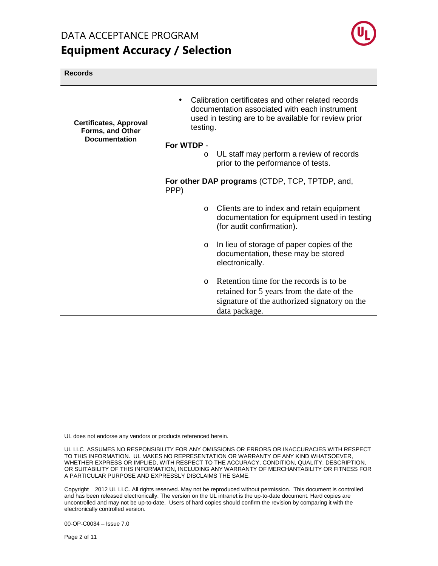

#### **Records**

| <b>Certificates, Approval</b><br>Forms, and Other | testing.              | Calibration certificates and other related records<br>documentation associated with each instrument<br>used in testing are to be available for review prior |
|---------------------------------------------------|-----------------------|-------------------------------------------------------------------------------------------------------------------------------------------------------------|
| <b>Documentation</b>                              | For WTDP -<br>$\circ$ | UL staff may perform a review of records<br>prior to the performance of tests.                                                                              |
|                                                   | PPP)                  | For other DAP programs (CTDP, TCP, TPTDP, and,                                                                                                              |
|                                                   | $\circ$               | Clients are to index and retain equipment<br>documentation for equipment used in testing<br>(for audit confirmation).                                       |
|                                                   | $\circ$               | In lieu of storage of paper copies of the<br>documentation, these may be stored<br>electronically.                                                          |
|                                                   | $\Omega$              | Retention time for the records is to be.<br>retained for 5 years from the date of the<br>signature of the authorized signatory on the<br>data package.      |

UL does not endorse any vendors or products referenced herein.

UL LLC ASSUMES NO RESPONSIBILITY FOR ANY OMISSIONS OR ERRORS OR INACCURACIES WITH RESPECT TO THIS INFORMATION. UL MAKES NO REPRESENTATION OR WARRANTY OF ANY KIND WHATSOEVER, WHETHER EXPRESS OR IMPLIED, WITH RESPECT TO THE ACCURACY, CONDITION, QUALITY, DESCRIPTION, OR SUITABILITY OF THIS INFORMATION, INCLUDING ANY WARRANTY OF MERCHANTABILITY OR FITNESS FOR A PARTICULAR PURPOSE AND EXPRESSLY DISCLAIMS THE SAME.

Copyright 2012 UL LLC. All rights reserved. May not be reproduced without permission. This document is controlled and has been released electronically. The version on the UL intranet is the up-to-date document. Hard copies are uncontrolled and may not be up-to-date. Users of hard copies should confirm the revision by comparing it with the electronically controlled version.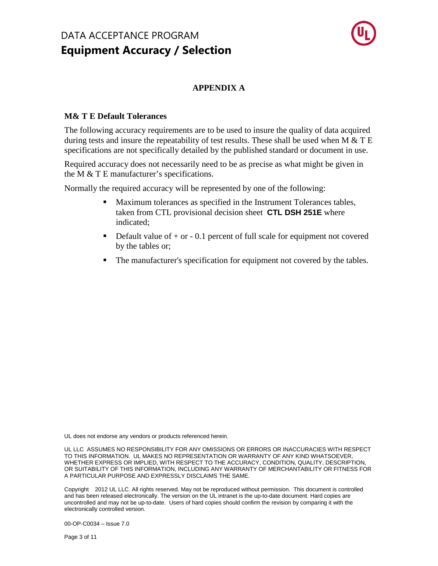

### **APPENDIX A**

#### **M& T E Default Tolerances**

The following accuracy requirements are to be used to insure the quality of data acquired during tests and insure the repeatability of test results. These shall be used when M  $&$  T E specifications are not specifically detailed by the published standard or document in use.

Required accuracy does not necessarily need to be as precise as what might be given in the M & T E manufacturer's specifications.

Normally the required accuracy will be represented by one of the following:

- Maximum tolerances as specified in the Instrument Tolerances tables, taken from CTL provisional decision sheet **CTL DSH 251E** where indicated;
- Default value of  $+$  or  $-$  0.1 percent of full scale for equipment not covered by the tables or;
- The manufacturer's specification for equipment not covered by the tables.

UL does not endorse any vendors or products referenced herein.

UL LLC ASSUMES NO RESPONSIBILITY FOR ANY OMISSIONS OR ERRORS OR INACCURACIES WITH RESPECT TO THIS INFORMATION. UL MAKES NO REPRESENTATION OR WARRANTY OF ANY KIND WHATSOEVER, WHETHER EXPRESS OR IMPLIED, WITH RESPECT TO THE ACCURACY, CONDITION, QUALITY, DESCRIPTION, OR SUITABILITY OF THIS INFORMATION, INCLUDING ANY WARRANTY OF MERCHANTABILITY OR FITNESS FOR A PARTICULAR PURPOSE AND EXPRESSLY DISCLAIMS THE SAME.

Copyright© 2012 UL LLC. All rights reserved. May not be reproduced without permission. This document is controlled and has been released electronically. The version on the UL intranet is the up-to-date document. Hard copies are uncontrolled and may not be up-to-date. Users of hard copies should confirm the revision by comparing it with the electronically controlled version.

00-OP-C0034 – Issue 7.0

Page 3 of 11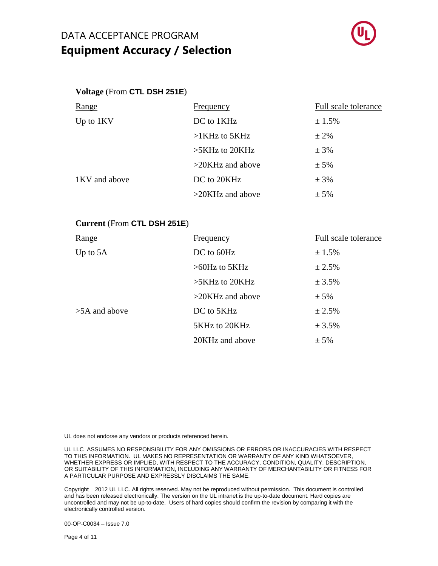

#### **Voltage** (From **CTL DSH 251E**)

| Range         | <b>Frequency</b>    | Full scale tolerance |
|---------------|---------------------|----------------------|
| Up to $1KV$   | DC to 1KHz          | ± 1.5%               |
|               | $>1$ KHz to 5KHz    | $\pm 2\%$            |
|               | $>5KHz$ to 20KHz    | $± 3\%$              |
|               | $>20$ KHz and above | $± 5\%$              |
| 1KV and above | DC to 20KHz         | $± 3\%$              |
|               | $>20$ KHz and above | $± 5\%$              |

#### **Current** (From **CTL DSH 251E**)

| Range           | <b>Frequency</b>    | Full scale tolerance |
|-----------------|---------------------|----------------------|
| Up to $5A$      | DC to 60Hz          | ± 1.5%               |
|                 | $>60$ Hz to 5KHz    | ± 2.5%               |
|                 | $>5KHz$ to 20KHz    | ± 3.5%               |
|                 | $>20$ KHz and above | $± 5\%$              |
| $>5A$ and above | DC to 5KHz          | ± 2.5%               |
|                 | 5KHz to 20KHz       | ± 3.5%               |
|                 | 20KHz and above     | $± 5\%$              |

UL does not endorse any vendors or products referenced herein.

UL LLC ASSUMES NO RESPONSIBILITY FOR ANY OMISSIONS OR ERRORS OR INACCURACIES WITH RESPECT TO THIS INFORMATION. UL MAKES NO REPRESENTATION OR WARRANTY OF ANY KIND WHATSOEVER, WHETHER EXPRESS OR IMPLIED, WITH RESPECT TO THE ACCURACY, CONDITION, QUALITY, DESCRIPTION, OR SUITABILITY OF THIS INFORMATION, INCLUDING ANY WARRANTY OF MERCHANTABILITY OR FITNESS FOR A PARTICULAR PURPOSE AND EXPRESSLY DISCLAIMS THE SAME.

Copyright 2012 UL LLC. All rights reserved. May not be reproduced without permission. This document is controlled and has been released electronically. The version on the UL intranet is the up-to-date document. Hard copies are uncontrolled and may not be up-to-date. Users of hard copies should confirm the revision by comparing it with the electronically controlled version.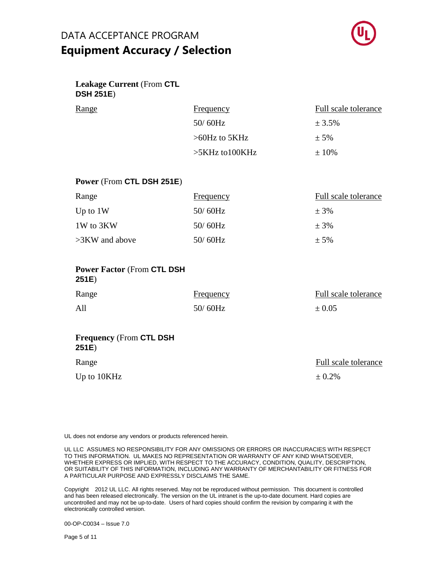

### **Leakage Current** (From **CTL DSH 251E**)

| <u>Range</u> | <b>Frequency</b>  | Full scale tolerance |
|--------------|-------------------|----------------------|
|              | $50/60$ Hz        | ± 3.5%               |
|              | $>60$ Hz to 5KHz  | $\pm$ 5%             |
|              | $>5KHz$ to 100KHz | $\pm 10\%$           |

#### **Power** (From **CTL DSH 251E**)

| Range             | <b>Frequency</b> | Full scale tolerance |
|-------------------|------------------|----------------------|
| Up to $1W$        | $50/60$ Hz       | $\pm$ 3%             |
| 1W to 3KW         | $50/60$ Hz       | $\pm$ 3%             |
| $>3$ KW and above | $50/60$ Hz       | $± 5\%$              |

| <b>Power Factor (From CTL DSH)</b><br>251E) |                  |                      |
|---------------------------------------------|------------------|----------------------|
| Range                                       | <b>Frequency</b> | Full scale tolerance |
| All                                         | $50/60$ Hz       | $\pm 0.05$           |

#### **Frequency** (From **CTL DSH 251E**)

| Range       | Full scale tolerance |  |
|-------------|----------------------|--|
| Up to 10KHz | $\pm 0.2\%$          |  |

UL does not endorse any vendors or products referenced herein.

UL LLC ASSUMES NO RESPONSIBILITY FOR ANY OMISSIONS OR ERRORS OR INACCURACIES WITH RESPECT TO THIS INFORMATION. UL MAKES NO REPRESENTATION OR WARRANTY OF ANY KIND WHATSOEVER, WHETHER EXPRESS OR IMPLIED, WITH RESPECT TO THE ACCURACY, CONDITION, QUALITY, DESCRIPTION, OR SUITABILITY OF THIS INFORMATION, INCLUDING ANY WARRANTY OF MERCHANTABILITY OR FITNESS FOR A PARTICULAR PURPOSE AND EXPRESSLY DISCLAIMS THE SAME.

Copyright 2012 UL LLC. All rights reserved. May not be reproduced without permission. This document is controlled and has been released electronically. The version on the UL intranet is the up-to-date document. Hard copies are uncontrolled and may not be up-to-date. Users of hard copies should confirm the revision by comparing it with the electronically controlled version.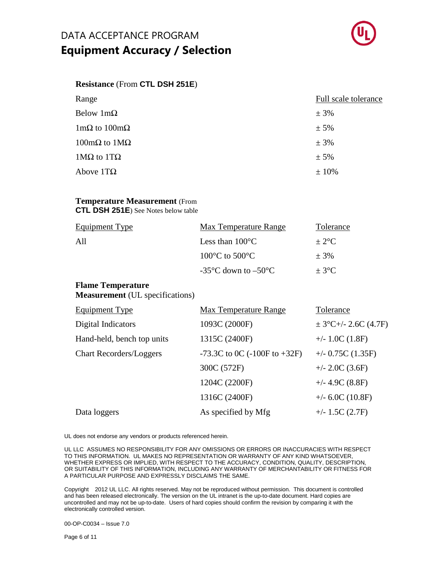

#### **Resistance** (From **CTL DSH 251E**)

| Range                                      | Full scale tolerance |
|--------------------------------------------|----------------------|
| Below $1m\Omega$                           | $± 3\%$              |
| $1 \text{m}\Omega$ to $100 \text{m}\Omega$ | $± 5\%$              |
| $100$ mΩ to $1$ MΩ                         | $± 3\%$              |
| $1MΩ$ to $1TΩ$                             | $± 5\%$              |
| Above $1T\Omega$                           | $±10\%$              |

#### **Temperature Measurement** (From **CTL DSH 251E**) See Notes below table

| <b>Equipment Type</b> | Max Temperature Range                                    | Tolerance |
|-----------------------|----------------------------------------------------------|-----------|
| All                   | Less than $100^{\circ}$ C                                | $+2$ °C   |
|                       | $100^{\circ}$ C to $500^{\circ}$ C                       | $+3%$     |
|                       | -35 $\mathrm{^{\circ}C}$ down to $-50\mathrm{^{\circ}C}$ | $+3$ °C   |

#### **Flame Temperature Measurement** (UL specifications)

| <b>Equipment Type</b>          | <b>Max Temperature Range</b>     | Tolerance                |
|--------------------------------|----------------------------------|--------------------------|
| Digital Indicators             | 1093C (2000F)                    | $\pm$ 3°C+/- 2.6C (4.7F) |
| Hand-held, bench top units     | 1315C (2400F)                    | $+/- 1.0C(1.8F)$         |
| <b>Chart Recorders/Loggers</b> | -73.3C to 0C $(-100F$ to $+32F)$ | $+/- 0.75C(1.35F)$       |
|                                | 300C (572F)                      | $+/- 2.0C(3.6F)$         |
|                                | 1204C (2200F)                    | $+/- 4.9C (8.8F)$        |
|                                | 1316C (2400F)                    | $+/- 6.0C(10.8F)$        |
| Data loggers                   | As specified by Mfg              | $+/- 1.5C (2.7F)$        |

UL does not endorse any vendors or products referenced herein.

UL LLC ASSUMES NO RESPONSIBILITY FOR ANY OMISSIONS OR ERRORS OR INACCURACIES WITH RESPECT TO THIS INFORMATION. UL MAKES NO REPRESENTATION OR WARRANTY OF ANY KIND WHATSOEVER, WHETHER EXPRESS OR IMPLIED, WITH RESPECT TO THE ACCURACY, CONDITION, QUALITY, DESCRIPTION, OR SUITABILITY OF THIS INFORMATION, INCLUDING ANY WARRANTY OF MERCHANTABILITY OR FITNESS FOR A PARTICULAR PURPOSE AND EXPRESSLY DISCLAIMS THE SAME.

Copyright 2012 UL LLC. All rights reserved. May not be reproduced without permission. This document is controlled and has been released electronically. The version on the UL intranet is the up-to-date document. Hard copies are uncontrolled and may not be up-to-date. Users of hard copies should confirm the revision by comparing it with the electronically controlled version.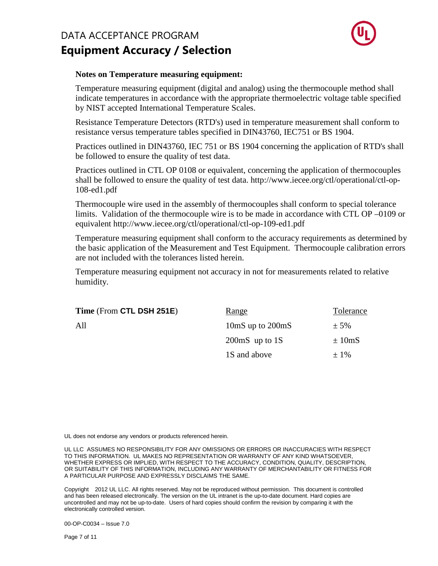

#### **Notes on Temperature measuring equipment:**

Temperature measuring equipment (digital and analog) using the thermocouple method shall indicate temperatures in accordance with the appropriate thermoelectric voltage table specified by NIST accepted International Temperature Scales.

Resistance Temperature Detectors (RTD's) used in temperature measurement shall conform to resistance versus temperature tables specified in DIN43760, IEC751 or BS 1904.

Practices outlined in DIN43760, IEC 751 or BS 1904 concerning the application of RTD's shall be followed to ensure the quality of test data.

Practices outlined in CTL OP 0108 or equivalent, concerning the application of thermocouples shall be followed to ensure the quality of test data. http://www.iecee.org/ctl/operational/ctl-op-108-ed1.pdf

Thermocouple wire used in the assembly of thermocouples shall conform to special tolerance limits. Validation of the thermocouple wire is to be made in accordance with CTL OP –0109 or equivalent http://www.iecee.org/ctl/operational/ctl-op-109-ed1.pdf

Temperature measuring equipment shall conform to the accuracy requirements as determined by the basic application of the Measurement and Test Equipment. Thermocouple calibration errors are not included with the tolerances listed herein.

Temperature measuring equipment not accuracy in not for measurements related to relative humidity.

| Time (From CTL DSH 251E) | Range                                | Tolerance   |
|--------------------------|--------------------------------------|-------------|
| All                      | 10 $\text{mS}$ up to 200 $\text{mS}$ | $\pm$ 5%    |
|                          | $200 \text{mS}$ up to 1S             | $\pm 10$ mS |
|                          | 1S and above                         | $\pm$ 1%    |
|                          |                                      |             |

UL does not endorse any vendors or products referenced herein.

UL LLC ASSUMES NO RESPONSIBILITY FOR ANY OMISSIONS OR ERRORS OR INACCURACIES WITH RESPECT TO THIS INFORMATION. UL MAKES NO REPRESENTATION OR WARRANTY OF ANY KIND WHATSOEVER, WHETHER EXPRESS OR IMPLIED, WITH RESPECT TO THE ACCURACY, CONDITION, QUALITY, DESCRIPTION, OR SUITABILITY OF THIS INFORMATION, INCLUDING ANY WARRANTY OF MERCHANTABILITY OR FITNESS FOR A PARTICULAR PURPOSE AND EXPRESSLY DISCLAIMS THE SAME.

Copyright<sup>©</sup> 2012 UL LLC. All rights reserved. May not be reproduced without permission. This document is controlled and has been released electronically. The version on the UL intranet is the up-to-date document. Hard copies are uncontrolled and may not be up-to-date. Users of hard copies should confirm the revision by comparing it with the electronically controlled version.

00-OP-C0034 – Issue 7.0

Page 7 of 11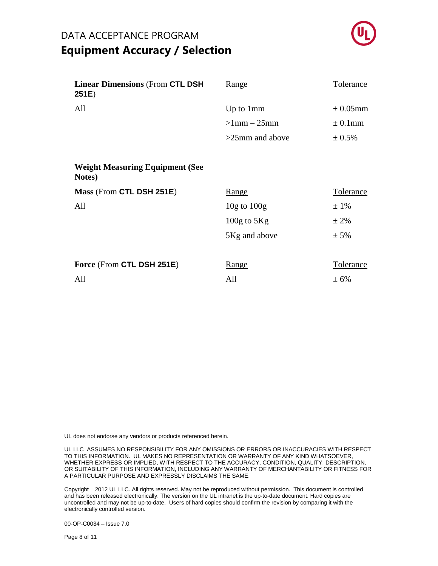

| <b>Linear Dimensions (From CTL DSH</b><br>251E)  | <u>Range</u>       | Tolerance        |
|--------------------------------------------------|--------------------|------------------|
| All                                              | Up to 1mm          | $\pm 0.05$ mm    |
|                                                  | $>1$ mm $-25$ mm   | $\pm$ 0.1mm      |
|                                                  | $>25$ mm and above | ± 0.5%           |
|                                                  |                    |                  |
| <b>Weight Measuring Equipment (See</b><br>Notes) |                    |                  |
| Mass (From CTL DSH 251E)                         | <u>Range</u>       | <b>Tolerance</b> |
| All                                              | $10g$ to $100g$    | $±1\%$           |
|                                                  |                    |                  |
|                                                  | $100g$ to $5Kg$    | $± 2\%$          |
|                                                  | 5Kg and above      | $± 5\%$          |
|                                                  |                    |                  |
| Force (From CTL DSH 251E)                        | <u>Range</u>       | Tolerance        |
| All                                              | All                | ± 6%             |

UL does not endorse any vendors or products referenced herein.

UL LLC ASSUMES NO RESPONSIBILITY FOR ANY OMISSIONS OR ERRORS OR INACCURACIES WITH RESPECT TO THIS INFORMATION. UL MAKES NO REPRESENTATION OR WARRANTY OF ANY KIND WHATSOEVER, WHETHER EXPRESS OR IMPLIED, WITH RESPECT TO THE ACCURACY, CONDITION, QUALITY, DESCRIPTION, OR SUITABILITY OF THIS INFORMATION, INCLUDING ANY WARRANTY OF MERCHANTABILITY OR FITNESS FOR A PARTICULAR PURPOSE AND EXPRESSLY DISCLAIMS THE SAME.

Copyright 2012 UL LLC. All rights reserved. May not be reproduced without permission. This document is controlled and has been released electronically. The version on the UL intranet is the up-to-date document. Hard copies are uncontrolled and may not be up-to-date. Users of hard copies should confirm the revision by comparing it with the electronically controlled version.

00-OP-C0034 – Issue 7.0

Page 8 of 11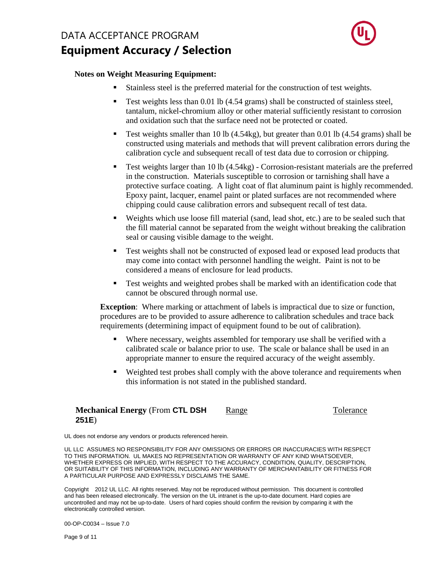

#### **Notes on Weight Measuring Equipment:**

- Stainless steel is the preferred material for the construction of test weights.
- **Test weights less than 0.01 lb (4.54 grams) shall be constructed of stainless steel,** tantalum, nickel-chromium alloy or other material sufficiently resistant to corrosion and oxidation such that the surface need not be protected or coated.
- **Test weights smaller than 10 lb (4.54kg), but greater than 0.01 lb (4.54 grams) shall be** constructed using materials and methods that will prevent calibration errors during the calibration cycle and subsequent recall of test data due to corrosion or chipping.
- Test weights larger than 10 lb (4.54kg) Corrosion-resistant materials are the preferred in the construction. Materials susceptible to corrosion or tarnishing shall have a protective surface coating. A light coat of flat aluminum paint is highly recommended. Epoxy paint, lacquer, enamel paint or plated surfaces are not recommended where chipping could cause calibration errors and subsequent recall of test data.
- Weights which use loose fill material (sand, lead shot, etc.) are to be sealed such that the fill material cannot be separated from the weight without breaking the calibration seal or causing visible damage to the weight.
- Test weights shall not be constructed of exposed lead or exposed lead products that may come into contact with personnel handling the weight. Paint is not to be considered a means of enclosure for lead products.
- Test weights and weighted probes shall be marked with an identification code that cannot be obscured through normal use.

**Exception**: Where marking or attachment of labels is impractical due to size or function, procedures are to be provided to assure adherence to calibration schedules and trace back requirements (determining impact of equipment found to be out of calibration).

- Where necessary, weights assembled for temporary use shall be verified with a calibrated scale or balance prior to use. The scale or balance shall be used in an appropriate manner to ensure the required accuracy of the weight assembly.
- Weighted test probes shall comply with the above tolerance and requirements when this information is not stated in the published standard.

#### **Mechanical Energy** (From **CTL DSH 251E**) Range Tolerance

UL does not endorse any vendors or products referenced herein.

UL LLC ASSUMES NO RESPONSIBILITY FOR ANY OMISSIONS OR ERRORS OR INACCURACIES WITH RESPECT TO THIS INFORMATION. UL MAKES NO REPRESENTATION OR WARRANTY OF ANY KIND WHATSOEVER, WHETHER EXPRESS OR IMPLIED, WITH RESPECT TO THE ACCURACY, CONDITION, QUALITY, DESCRIPTION, OR SUITABILITY OF THIS INFORMATION, INCLUDING ANY WARRANTY OF MERCHANTABILITY OR FITNESS FOR A PARTICULAR PURPOSE AND EXPRESSLY DISCLAIMS THE SAME.

Copyright<sup>©</sup> 2012 UL LLC. All rights reserved. May not be reproduced without permission. This document is controlled and has been released electronically. The version on the UL intranet is the up-to-date document. Hard copies are uncontrolled and may not be up-to-date. Users of hard copies should confirm the revision by comparing it with the electronically controlled version.

00-OP-C0034 – Issue 7.0

Page 9 of 11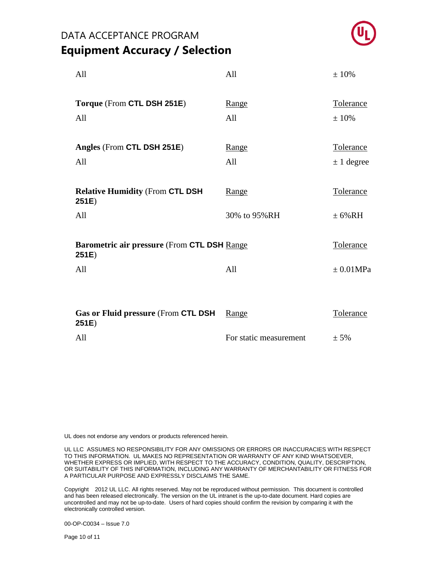

| All                                                          | All                    | ±10%              |
|--------------------------------------------------------------|------------------------|-------------------|
| Torque (From CTL DSH 251E)<br>All                            | Range<br>All           | Tolerance<br>±10% |
| Angles (From CTL DSH 251E)                                   | Range                  | <b>Tolerance</b>  |
| All                                                          | All                    | $\pm$ 1 degree    |
| <b>Relative Humidity (From CTL DSH</b><br>251E)              | Range                  | <b>Tolerance</b>  |
| All                                                          | 30% to 95%RH           | $\pm 6\% RH$      |
| <b>Barometric air pressure (From CTL DSH Range)</b><br>251E) |                        | Tolerance         |
| All                                                          | All                    | $\pm 0.01 MPa$    |
| Gas or Fluid pressure (From CTL DSH<br>251E)                 | Range                  | Tolerance         |
| All                                                          | For static measurement | $± 5\%$           |

UL does not endorse any vendors or products referenced herein.

UL LLC ASSUMES NO RESPONSIBILITY FOR ANY OMISSIONS OR ERRORS OR INACCURACIES WITH RESPECT TO THIS INFORMATION. UL MAKES NO REPRESENTATION OR WARRANTY OF ANY KIND WHATSOEVER, WHETHER EXPRESS OR IMPLIED, WITH RESPECT TO THE ACCURACY, CONDITION, QUALITY, DESCRIPTION, OR SUITABILITY OF THIS INFORMATION, INCLUDING ANY WARRANTY OF MERCHANTABILITY OR FITNESS FOR A PARTICULAR PURPOSE AND EXPRESSLY DISCLAIMS THE SAME.

Copyright 2012 UL LLC. All rights reserved. May not be reproduced without permission. This document is controlled and has been released electronically. The version on the UL intranet is the up-to-date document. Hard copies are uncontrolled and may not be up-to-date. Users of hard copies should confirm the revision by comparing it with the electronically controlled version.

00-OP-C0034 – Issue 7.0

Page 10 of 11